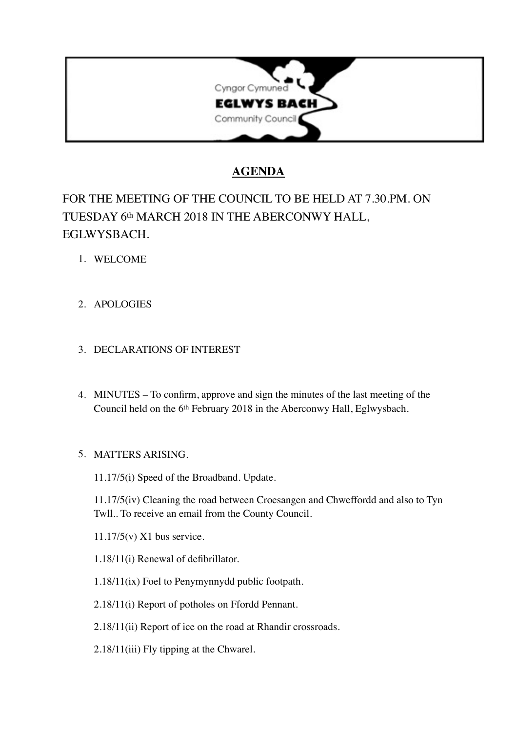

# **AGENDA**

# FOR THE MEETING OF THE COUNCIL TO BE HELD AT 7.30.PM. ON TUESDAY 6th MARCH 2018 IN THE ABERCONWY HALL, EGLWYSBACH.

- 1. WELCOME
- 2. APOLOGIES

# 3. DECLARATIONS OF INTEREST

4. MINUTES – To confirm, approve and sign the minutes of the last meeting of the Council held on the 6th February 2018 in the Aberconwy Hall, Eglwysbach.

# 5. MATTERS ARISING.

11.17/5(i) Speed of the Broadband. Update.

11.17/5(iv) Cleaning the road between Croesangen and Chweffordd and also to Tyn Twll.. To receive an email from the County Council.

11.17/5(v) X1 bus service.

- 1.18/11(i) Renewal of defibrillator.
- 1.18/11(ix) Foel to Penymynnydd public footpath.
- 2.18/11(i) Report of potholes on Ffordd Pennant.
- 2.18/11(ii) Report of ice on the road at Rhandir crossroads.
- 2.18/11(iii) Fly tipping at the Chwarel.